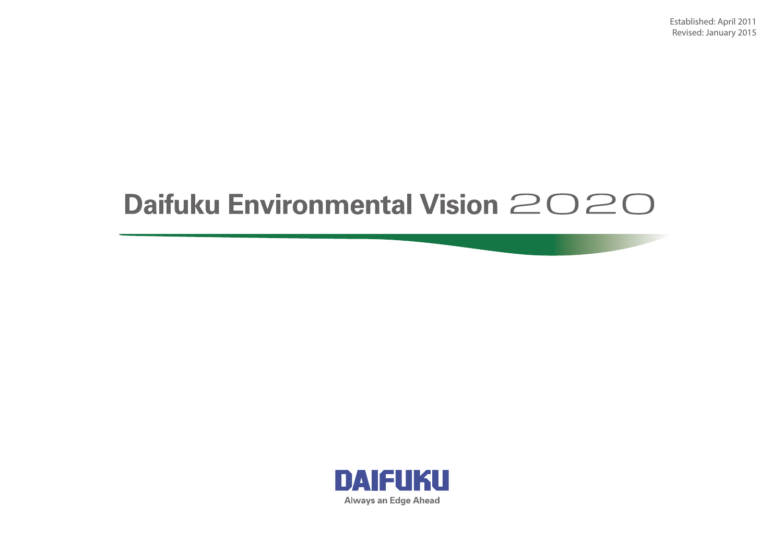Established: April 2011 Revised: January 2015

## Daifuku Environmental Vision 2020

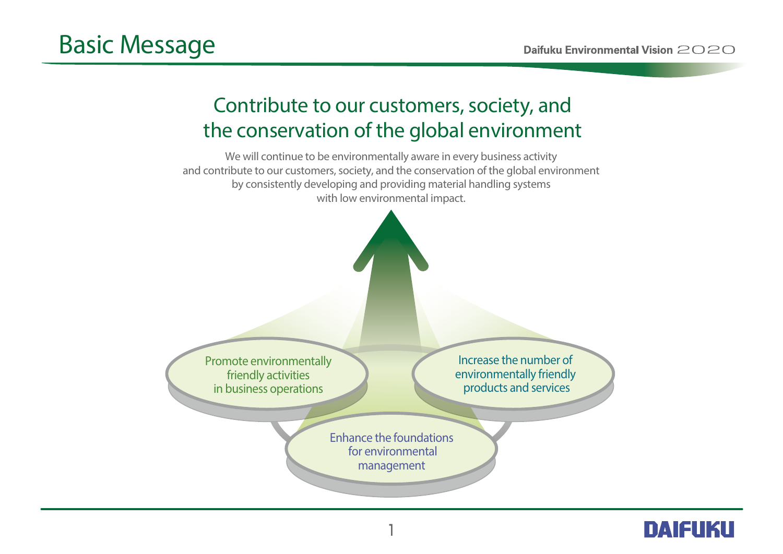## **Contribute to our customers, society, and the conservation of the global environment**



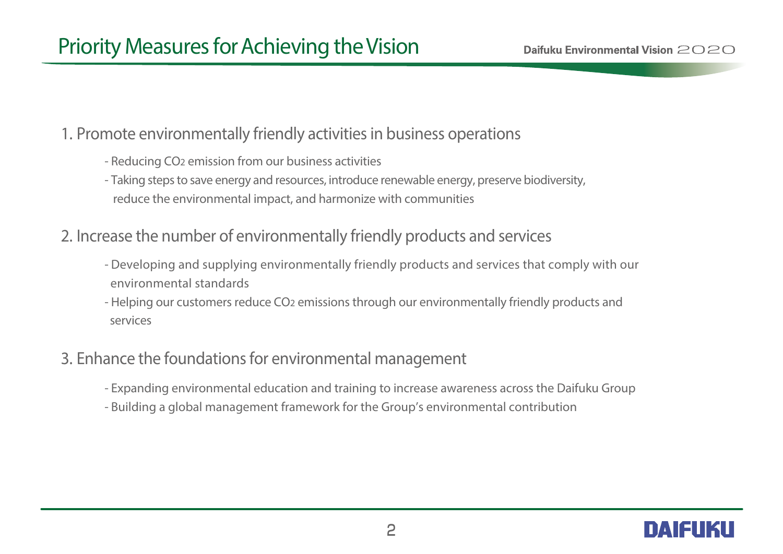## **1. Promote environmentally friendly activities in business operations**

- - Reducing CO2 emission from our business activities
	- Taking steps to save energy and resources, introduce renewable energy, preserve biodiversity, reduce the environmental impact, and harmonize with communities
- **2. Increase the number of environmentally friendly products and services** 
	- Developing and supplying environmentally friendly products and services that comply with our environmental standards
	- Helping our customers reduce CO2 emissions through our environmentally friendly products and services

## **3. Enhance the foundations for environmental management**

- Expanding environmental education and training to increase awareness across the Daifuku Group
- Building a global management framework for the Group's environmental contribution